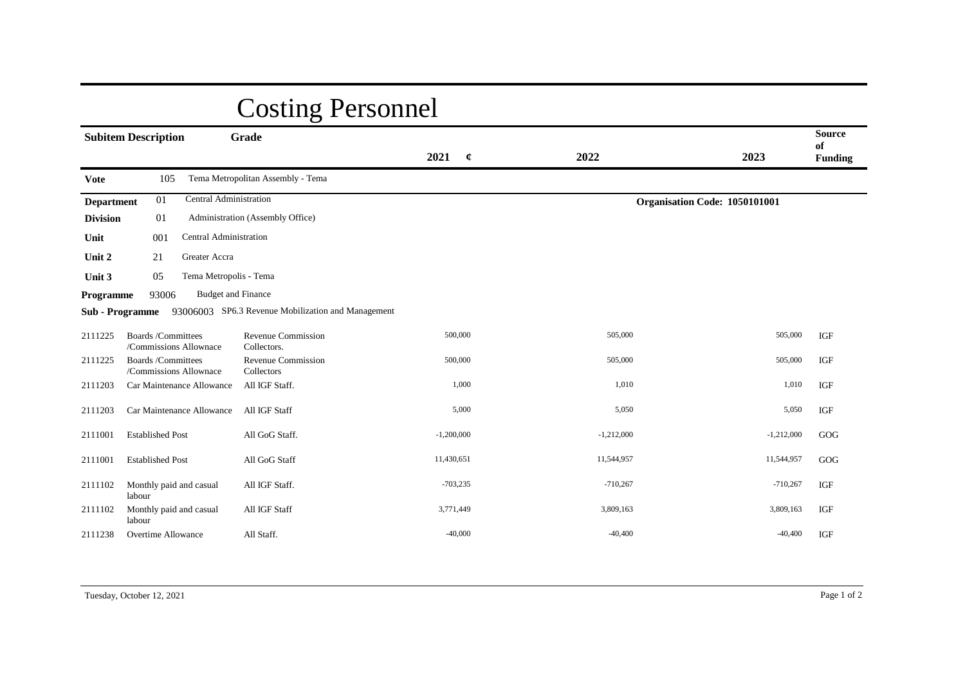## Costing Personnel

|                                                   | <b>Subitem Description</b>                         | Grade                                              | 2021<br>$\mathfrak{C}$ | 2022                          | 2023         | <b>Source</b><br>of<br><b>Funding</b> |
|---------------------------------------------------|----------------------------------------------------|----------------------------------------------------|------------------------|-------------------------------|--------------|---------------------------------------|
| <b>Vote</b>                                       | 105                                                | Tema Metropolitan Assembly - Tema                  |                        |                               |              |                                       |
| Central Administration<br>01<br><b>Department</b> |                                                    |                                                    |                        | Organisation Code: 1050101001 |              |                                       |
| <b>Division</b>                                   | 01                                                 | Administration (Assembly Office)                   |                        |                               |              |                                       |
| Unit                                              | Central Administration<br>001                      |                                                    |                        |                               |              |                                       |
| Unit 2                                            | Greater Accra<br>21                                |                                                    |                        |                               |              |                                       |
| Unit 3                                            | Tema Metropolis - Tema<br>05                       |                                                    |                        |                               |              |                                       |
| Programme                                         | <b>Budget and Finance</b><br>93006                 |                                                    |                        |                               |              |                                       |
|                                                   | <b>Sub</b> - Programme                             | 93006003 SP6.3 Revenue Mobilization and Management |                        |                               |              |                                       |
| 2111225                                           | <b>Boards/Committees</b><br>/Commissions Allownace | Revenue Commission<br>Collectors.                  | 500,000                | 505,000                       | 505,000      | IGF                                   |
| 2111225                                           | <b>Boards/Committees</b><br>/Commissions Allownace | Revenue Commission<br>Collectors                   | 500,000                | 505,000                       | 505,000      | IGF                                   |
| 2111203                                           | Car Maintenance Allowance                          | All IGF Staff.                                     | 1,000                  | 1,010                         | 1,010        | IGF                                   |
| 2111203                                           | Car Maintenance Allowance                          | All IGF Staff                                      | 5,000                  | 5,050                         | 5,050        | IGF                                   |
| 2111001                                           | <b>Established Post</b>                            | All GoG Staff.                                     | $-1,200,000$           | $-1,212,000$                  | $-1,212,000$ | GOG                                   |
| 2111001                                           | <b>Established Post</b>                            | All GoG Staff                                      | 11,430,651             | 11,544,957                    | 11,544,957   | GOG                                   |
| 2111102                                           | Monthly paid and casual<br>labour                  | All IGF Staff.                                     | $-703,235$             | $-710,267$                    | $-710,267$   | IGF                                   |
| 2111102                                           | Monthly paid and casual<br>labour                  | All IGF Staff                                      | 3,771,449              | 3,809,163                     | 3,809,163    | IGF                                   |
| 2111238                                           | <b>Overtime Allowance</b>                          | All Staff.                                         | $-40,000$              | $-40,400$                     | $-40,400$    | IGF                                   |